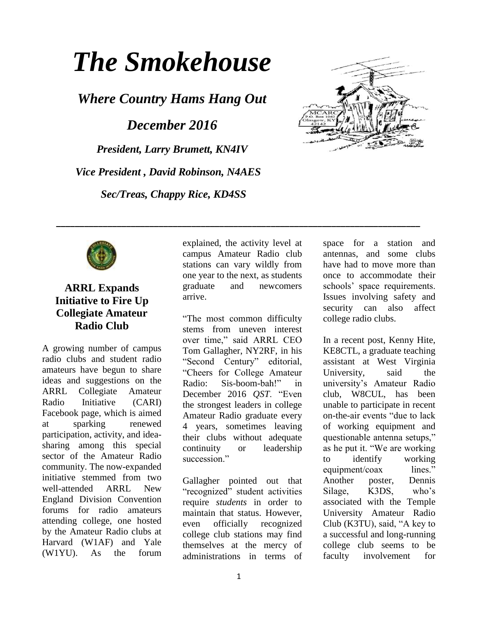# *The Smokehouse*

*Where Country Hams Hang Out*

*December 2016*

*President, Larry Brumett, KN4IV Vice President , David Robinson, N4AES Sec/Treas, Chappy Rice, KD4SS*





# **ARRL Expands Initiative to Fire Up Collegiate Amateur Radio Club**

A growing number of campus radio clubs and student radio amateurs have begun to share ideas and suggestions on the ARRL Collegiate Amateur Radio Initiative [\(CARI\)](https://www.facebook.com/groups/ARRLCARI/) Facebook page, which is aimed at sparking renewed participation, activity, and ideasharing among this special sector of the Amateur Radio community. The now-expanded initiative stemmed from two well-attended ARRL New England Division Convention forums for radio amateurs attending college, one hosted by the Amateur Radio clubs at Harvard (W1AF) and Yale (W1YU). As the forum

explained, the activity level at campus Amateur Radio club stations can vary wildly from one year to the next, as students graduate and newcomers arrive.

**\_\_\_\_\_\_\_\_\_\_\_\_\_\_\_\_\_\_\_\_\_\_\_\_\_\_\_\_\_\_\_\_\_\_\_\_\_\_\_\_\_\_\_\_\_\_\_\_\_\_\_\_\_\_\_\_\_\_\_\_\_\_\_\_\_\_\_\_\_\_\_\_\_\_\_\_\_\_**

"The most common difficulty stems from uneven interest over time," said ARRL CEO Tom Gallagher, NY2RF, in his "Second Century" editorial, "Cheers for College Amateur Radio: Sis-boom-bah!" in December 2016 *QST*. "Even the strongest leaders in college Amateur Radio graduate every 4 years, sometimes leaving their clubs without adequate continuity or leadership succession."

Gallagher pointed out that "recognized" student activities require *students* in order to maintain that status. However, even officially recognized college club stations may find themselves at the mercy of administrations in terms of space for a station and antennas, and some clubs have had to move more than once to accommodate their schools' space requirements. Issues involving safety and security can also affect college radio clubs.

In a recent post, Kenny Hite, KE8CTL, a graduate teaching assistant at West Virginia University, said the university's Amateur Radio club, W8CUL, has been unable to participate in recent on-the-air events "due to lack of working equipment and questionable antenna setups," as he put it. "We are working to identify working equipment/coax lines." Another poster, Dennis Silage, K3DS, who's associated with the Temple University Amateur Radio Club [\(K3TU\)](http://www.temple.edu/k3tu), said, "A key to a successful and long-running college club seems to be faculty involvement for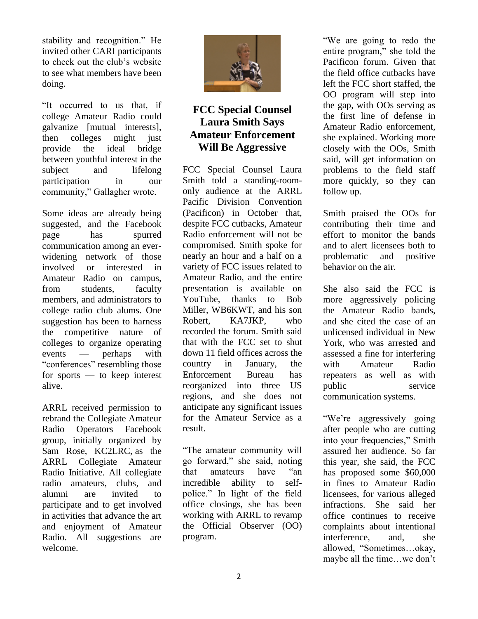stability and recognition." He invited other CARI participants to check out the club's website to see what members have been doing.

"It occurred to us that, if college Amateur Radio could galvanize [mutual interests], then colleges might just provide the ideal bridge between youthful interest in the subject and lifelong participation in our community," Gallagher wrote.

Some ideas are already being suggested, and the Facebook page has spurred communication among an everwidening network of those involved or interested in Amateur Radio on campus, from students, faculty members, and administrators to college radio club alums. One suggestion has been to harness the competitive nature of colleges to organize operating events — perhaps with "conferences" resembling those for sports — to keep interest alive.

ARRL received permission to rebrand the Collegiate Amateur Radio Operators Facebook group, initially organized by Sam Rose, KC2LRC, as the ARRL Collegiate Amateur Radio Initiative. All collegiate radio amateurs, clubs, and alumni are invited to participate and to get involved in activities that advance the art and enjoyment of Amateur Radio. All suggestions are welcome.



# **FCC Special Counsel Laura Smith Says Amateur Enforcement Will Be Aggressive**

FCC Special Counsel Laura Smith told a standing-roomonly audience at the ARRL Pacific Division Convention (Pacificon) in October that, despite FCC cutbacks, Amateur Radio enforcement will not be compromised. Smith spoke for nearly an hour and a half on a variety of FCC issues related to Amateur Radio, and the [entire](https://www.youtube.com/watch?v=DZlP4OUfEt8)  [presentation](https://www.youtube.com/watch?v=DZlP4OUfEt8) is available on YouTube, thanks to Bob Miller, WB6KWT, and his son Robert, KA7JKP, who recorded the forum. Smith said that with the FCC set to shut down 11 field offices across the country in January, the Enforcement Bureau has reorganized into three US regions, and she does not anticipate any significant issues for the Amateur Service as a result.

"The amateur community will go forward," she said, noting that amateurs have "an incredible ability to selfpolice." In light of the field office closings, she has been working with ARRL to revamp the Official Observer [\(OO\)](http://www.arrl.org/official-observer-1) program.

"We are going to redo the entire program," she told the Pacificon forum. Given that the field office cutbacks have left the FCC short staffed, the OO program will step into the gap, with OOs serving as the first line of defense in Amateur Radio enforcement, she explained. Working more closely with the OOs, Smith said, will get information on problems to the field staff more quickly, so they can follow up.

Smith praised the OOs for contributing their time and effort to monitor the bands and to alert licensees both to problematic and positive behavior on the air.

She also said the FCC is more aggressively policing the Amateur Radio bands, and she cited the [case](http://www.arrl.org/news/fcc-proposes-substantial-fine-for-unlicensed-amateur-operation-false-police-call) of an unlicensed individual in New York, who was arrested and assessed a fine for interfering with Amateur Radio repeaters as well as with public service communication systems.

"We're aggressively going after people who are cutting into your frequencies," Smith assured her audience. So far this year, she said, the FCC has proposed some \$60,000 in fines to Amateur Radio licensees, for various alleged infractions. She said her office continues to receive complaints about intentional interference, and, she allowed, "Sometimes…okay, maybe all the time…we don't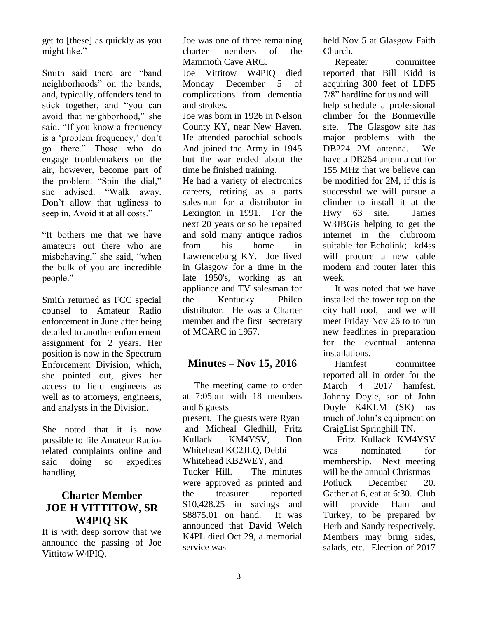get to [these] as quickly as you might like."

Smith said there are "band neighborhoods" on the bands, and, typically, offenders tend to stick together, and "you can avoid that neighborhood," she said. "If you know a frequency is a 'problem frequency,' don't go there." Those who do engage troublemakers on the air, however, become part of the problem. "Spin the dial," she advised. "Walk away. Don't allow that ugliness to seep in. Avoid it at all costs."

"It bothers me that we have amateurs out there who are misbehaving," she said, "when the bulk of you are incredible people."

Smith returned as FCC special counsel to Amateur Radio enforcement in June after being detailed to another enforcement assignment for 2 years. Her position is now in the Spectrum Enforcement Division, which, she pointed out, gives her access to field engineers as well as to attorneys, engineers, and analysts in the Division.

She noted that it is now possible to [file](https://consumercomplaints.fcc.gov/hc/en-us/requests/new?ticket_form_id=38844) Amateur Radiorelated complaints online and said doing so expedites handling.

### **Charter Member JOE H VITTITOW, SR W4PIQ SK**

It is with deep sorrow that we announce the passing of Joe Vittitow W4PIQ.

Joe was one of three remaining charter members of the Mammoth Cave ARC.

Joe Vittitow W4PIQ died Monday December 5 of complications from dementia and strokes.

Joe was born in 1926 in Nelson County KY, near New Haven. He attended parochial schools And joined the Army in 1945 but the war ended about the time he finished training.

He had a variety of electronics careers, retiring as a parts salesman for a distributor in Lexington in 1991. For the next 20 years or so he repaired and sold many antique radios from his home in Lawrenceburg KY. Joe lived in Glasgow for a time in the late 1950's, working as an appliance and TV salesman for the Kentucky Philco distributor. He was a Charter member and the first secretary of MCARC in 1957.

#### **Minutes – Nov 15, 2016**

 The meeting came to order at 7:05pm with 18 members and 6 guests present. The guests were Ryan and Micheal Gledhill, Fritz Kullack KM4YSV, Don Whitehead KC2JLQ, Debbi Whitehead KB2WEY, and Tucker Hill. The minutes were approved as printed and the treasurer reported \$10,428.25 in savings and \$8875.01 on hand. It was announced that David Welch K4PL died Oct 29, a memorial service was

held Nov 5 at Glasgow Faith Church.

 Repeater committee reported that Bill Kidd is acquiring 300 feet of LDF5 7/8" hardline for us and will help schedule a professional climber for the Bonnieville site. The Glasgow site has major problems with the DB224 2M antenna. We have a DB264 antenna cut for 155 MHz that we believe can be modified for 2M, if this is successful we will pursue a climber to install it at the Hwy 63 site. James W3JBGis helping to get the internet in the clubroom suitable for Echolink; kd4ss will procure a new cable modem and router later this week.

 It was noted that we have installed the tower top on the city hall roof, and we will meet Friday Nov 26 to to run new feedlines in preparation for the eventual antenna installations.

 Hamfest committee reported all in order for the March 4 2017 hamfest. Johnny Doyle, son of John Doyle K4KLM (SK) has much of John's equipment on CraigList Springhill TN.

 Fritz Kullack KM4YSV was nominated for membership. Next meeting will be the annual Christmas Potluck December 20. Gather at 6, eat at 6:30. Club will provide Ham and Turkey, to be prepared by Herb and Sandy respectively. Members may bring sides, salads, etc. Election of 2017